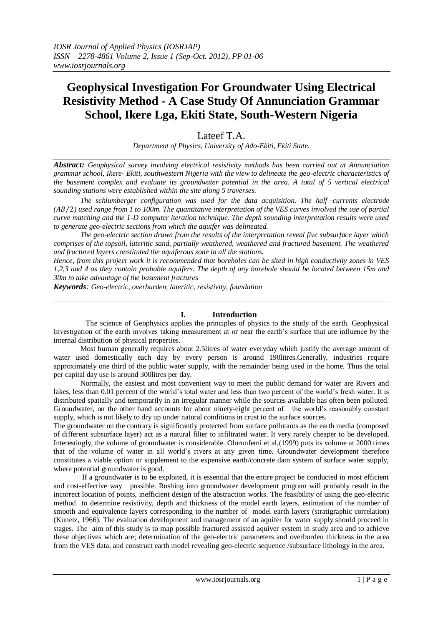# **Geophysical Investigation For Groundwater Using Electrical Resistivity Method - A Case Study Of Annunciation Grammar School, Ikere Lga, Ekiti State, South-Western Nigeria**

## Lateef T.A.

*Department of Physics, University of Ado-Ekiti, Ekiti State.*

*Abstract: Geophysical survey involving electrical resistivity methods has been carried out at Annunciation grammar school, Ikere- Ekiti, southwestern Nigeria with the view to delineate the geo-electric characteristics of the basement complex and evaluate its groundwater potential in the area. A total of 5 vertical electrical sounding stations were established within the site along 5 traverses.*

 *The schlumberger configuration was used for the data acquisition. The half* –*currents electrode (* 2*) used range from 1 to 100m. The quantitative interpretation of the VES curves involved the use of partial curve matching and the 1-D computer iteration technique. The depth sounding interpretation results were used to generate geo-electric sections from which the aquifer was delineated.*

 *The geo-electric section drawn from the results of the interpretation reveal five subsurface layer which comprises of the topsoil, lateritic sand, partially weathered, weathered and fractured basement. The weathered and fractured layers constituted the aquiferous zone in all the stations.*

*Hence, from this project work it is recommended that boreholes can be sited in high conductivity zones in VES 1,2,3 and 4 as they contain probable aquifers. The depth of any borehole should be located between 15m and 30m to take advantage of the basement fractures*

*Keywords: Geo-electric, overburden, lateritic, resistivity, foundation*

### **I. Introduction**

 The science of Geophysics applies the principles of physics to the study of the earth. Geophysical Investigation of the earth involves taking measurement at or near the earth's surface that are influence by the internal distribution of physical properties.

 Most human generally requires about 2.5litres of water everyday which justify the average amount of water used domestically each day by every person is around 190litres.Generally, industries require approximately one third of the public water supply, with the remainder being used in the home. Thus the total per capital day use is around 300litres per day.

 Normally, the easiest and most convenient way to meet the public demand for water are Rivers and lakes, less than 0.01 percent of the world's total water and less than two percent of the world's fresh water. It is distributed spatially and temporarily in an irregular manner while the sources available has often been polluted. Groundwater, on the other hand accounts for about ninety-eight percent of the world's reasonably constant supply, which is not likely to dry up under natural conditions in crust to the surface sources.

The groundwater on the contrary is significantly protected from surface pollutants as the earth media (composed of different subsurface layer) act as a natural filter to infiltrated water. It very rarely cheaper to be developed. Interestingly, the volume of groundwater is considerable. Olorunfemi et al,(1999) puts its volume at 2000 times that of the volume of water in all world's rivers at any given time. Groundwater development therefore constitutes a viable option or supplement to the expensive earth/concrete dam system of surface water supply, where potential groundwater is good.

 If a groundwater is to be exploited, it is essential that the entire project be conducted in most efficient and cost-effective way possible. Rushing into groundwater development program will probably result in the incorrect location of points, inefficient design of the abstraction works. The feasibility of using the geo-electric method to determine resistivity, depth and thickness of the model earth layers, estimation of the number of smooth and equivalence layers corresponding to the number of model earth layers (stratigraphic correlation) (Kunetz, 1966). The evaluation development and management of an aquifer for water supply should proceed in stages. The aim of this study is to map possible fractured assisted aquiver system in study area and to achieve these objectives which are; determination of the geo-electric parameters and overburden thickness in the area from the VES data, and construct earth model revealing geo-electric sequence /subsurface lithology in the area.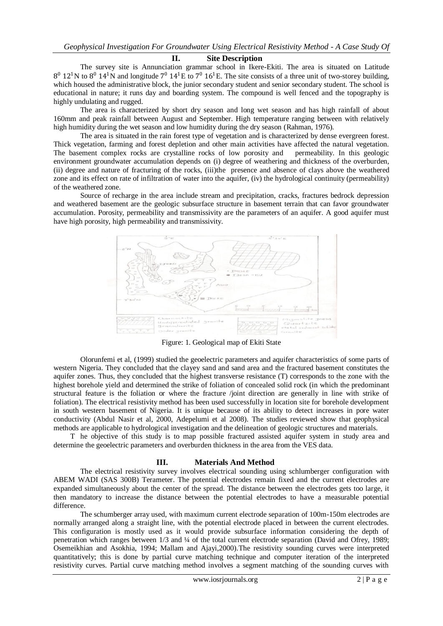#### **II. Site Description**

 The survey site is Annunciation grammar school in Ikere-Ekiti. The area is situated on Latitude  $8^0$  12<sup>1</sup>N to  $8^0$  14<sup>1</sup>N and longitude  $7^0$  14<sup>1</sup>E to  $7^0$  16<sup>1</sup>E. The site consists of a three unit of two-storey building, which housed the administrative block, the junior secondary student and senior secondary student. The school is educational in nature; it runs day and boarding system. The compound is well fenced and the topography is highly undulating and rugged.

 The area is characterized by short dry season and long wet season and has high rainfall of about 160mm and peak rainfall between August and September. High temperature ranging between with relatively high humidity during the wet season and low humidity during the dry season (Rahman, 1976).

 The area is situated in the rain forest type of vegetation and is characterized by dense evergreen forest. Thick vegetation, farming and forest depletion and other main activities have affected the natural vegetation. The basement complex rocks are crystalline rocks of low porosity and permeability. In this geologic environment groundwater accumulation depends on (i) degree of weathering and thickness of the overburden, (ii) degree and nature of fracturing of the rocks, (iii)the presence and absence of clays above the weathered zone and its effect on rate of infiltration of water into the aquifer, (iv) the hydrological continuity (permeability) of the weathered zone.

 Source of recharge in the area include stream and precipitation, cracks, fractures bedrock depression and weathered basement are the geologic subsurface structure in basement terrain that can favor groundwater accumulation. Porosity, permeability and transmissivity are the parameters of an aquifer. A good aquifer must have high porosity, high permeability and transmissivity.



Figure: 1. Geological map of Ekiti State

 Olorunfemi et al, (1999) studied the geoelectric parameters and aquifer characteristics of some parts of western Nigeria. They concluded that the clayey sand and sand area and the fractured basement constitutes the aquifer zones. Thus, they concluded that the highest transverse resistance (T) corresponds to the zone with the highest borehole yield and determined the strike of foliation of concealed solid rock (in which the predominant structural feature is the foliation or where the fracture /joint direction are generally in line with strike of foliation). The electrical resistivity method has been used successfully in location site for borehole development in south western basement of Nigeria. It is unique because of its ability to detect increases in pore water conductivity (Abdul Nasir et al, 2000, Adepelumi et al 2008). The studies reviewed show that geophysical methods are applicable to hydrological investigation and the delineation of geologic structures and materials.

 T he objective of this study is to map possible fractured assisted aquifer system in study area and determine the geoelectric parameters and overburden thickness in the area from the VES data.

#### **III. Materials And Method**

The electrical resistivity survey involves electrical sounding using schlumberger configuration with ABEM WADI (SAS 300B) Terameter. The potential electrodes remain fixed and the current electrodes are expanded simultaneously about the center of the spread. The distance between the electrodes gets too large, it then mandatory to increase the distance between the potential electrodes to have a measurable potential difference.

The schumberger array used, with maximum current electrode separation of 100m-150m electrodes are normally arranged along a straight line, with the potential electrode placed in between the current electrodes. This configuration is mostly used as it would provide subsurface information considering the depth of penetration which ranges between 1/3 and ¼ of the total current electrode separation (David and Ofrey, 1989; Osemeikhian and Asokhia, 1994; Mallam and Ajayi,2000).The resistivity sounding curves were interpreted quantitatively; this is done by partial curve matching technique and computer iteration of the interpreted resistivity curves. Partial curve matching method involves a segment matching of the sounding curves with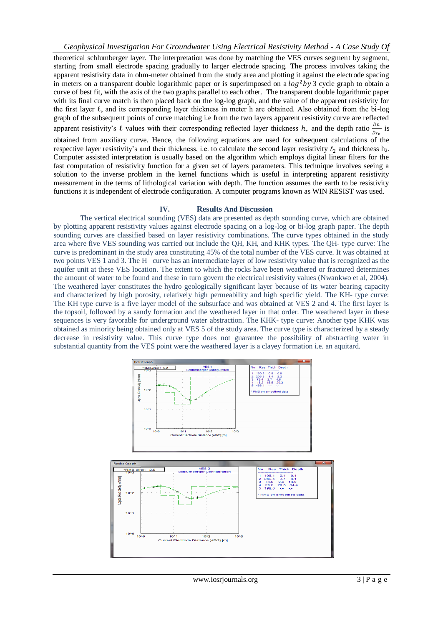theoretical schlumberger layer. The interpretation was done by matching the VES curves segment by segment, starting from small electrode spacing gradually to larger electrode spacing. The process involves taking the apparent resistivity data in ohm-meter obtained from the study area and plotting it against the electrode spacing in meters on a transparent double logarithmic paper or is superimposed on a  $log^2 by 3$  cycle graph to obtain a curve of best fit, with the axis of the two graphs parallel to each other. The transparent double logarithmic paper with its final curve match is then placed back on the log-log graph, and the value of the apparent resistivity for the first layer ℓ, and its corresponding layer thickness in meter h are obtained. Also obtained from the bi-log graph of the subsequent points of curve matching i.e from the two layers apparent resistivity curve are reflected apparent resistivity's  $\ell$  values with their corresponding reflected layer thickness  $h_r$  and the depth ratio  $\frac{Dn}{Dr_n}$  is

obtained from auxiliary curve. Hence, the following equations are used for subsequent calculations of the respective layer resistivity's and their thickness, i.e. to calculate the second layer resistivity  $\ell_2$  and thickness h<sub>2</sub>. Computer assisted interpretation is usually based on the algorithm which employs digital linear filters for the fast computation of resistivity function for a given set of layers parameters. This technique involves seeing a solution to the inverse problem in the kernel functions which is useful in interpreting apparent resistivity measurement in the terms of lithological variation with depth. The function assumes the earth to be resistivity functions it is independent of electrode configuration. A computer programs known as WIN RESIST was used.

#### **IV. Results And Discussion**

The vertical electrical sounding (VES) data are presented as depth sounding curve, which are obtained by plotting apparent resistivity values against electrode spacing on a log-log or bi-log graph paper. The depth sounding curves are classified based on layer resistivity combinations. The curve types obtained in the study area where five VES sounding was carried out include the QH, KH, and KHK types. The QH- type curve: The curve is predominant in the study area constituting 45% of the total number of the VES curve. It was obtained at two points VES 1 and 3. The H –curve has an intermediate layer of low resistivity value that is recognized as the aquifer unit at these VES location. The extent to which the rocks have been weathered or fractured determines the amount of water to be found and these in turn govern the electrical resistivity values (Nwankwo et al, 2004). The weathered layer constitutes the hydro geologically significant layer because of its water bearing capacity and characterized by high porosity, relatively high permeability and high specific yield. The KH- type curve: The KH type curve is a five layer model of the subsurface and was obtained at VES 2 and 4. The first layer is the topsoil, followed by a sandy formation and the weathered layer in that order. The weathered layer in these sequences is very favorable for underground water abstraction. The KHK- type curve: Another type KHK was obtained as minority being obtained only at VES 5 of the study area. The curve type is characterized by a steady decrease in resistivity value. This curve type does not guarantee the possibility of abstracting water in substantial quantity from the VES point were the weathered layer is a clayey formation i.e. an aquitard.

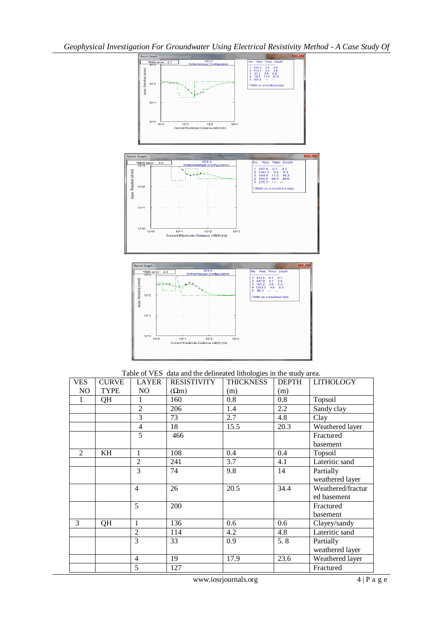

Table of VES data and the delineated lithologies in the study area.

| <b>VES</b>     | <b>CURVE</b> | <b>LAYER</b>   | <b>RESISTIVITY</b> | ັ<br><b>THICKNESS</b> | <b>DEPTH</b> | <b>LITHOLOGY</b>  |
|----------------|--------------|----------------|--------------------|-----------------------|--------------|-------------------|
| N <sub>O</sub> | <b>TYPE</b>  | N <sub>O</sub> | $(\Omega m)$       | (m)                   | (m)          |                   |
| 1              | QH           | 1              | 160                | 0.8                   | 0.8          | Topsoil           |
|                |              | $\overline{2}$ | 206                | 1.4                   | 2.2          | Sandy clay        |
|                |              | 3              | 73                 | 2.7                   | 4.8          | Clay              |
|                |              | $\overline{4}$ | 18                 | 15.5                  | 20.3         | Weathered layer   |
|                |              | 5              | 466                |                       |              | Fractured         |
|                |              |                |                    |                       |              | basement          |
| $\mathfrak{D}$ | KH           | 1              | 108                | 0.4                   | 0.4          | Topsoil           |
|                |              | $\overline{c}$ | 241                | 3.7                   | 4.1          | Lateritic sand    |
|                |              | 3              | 74                 | 9.8                   | 14           | Partially         |
|                |              |                |                    |                       |              | weathered layer   |
|                |              | $\overline{4}$ | 26                 | 20.5                  | 34.4         | Weathered/fractur |
|                |              |                |                    |                       |              | ed basement       |
|                |              | 5              | 200                |                       |              | Fractured         |
|                |              |                |                    |                       |              | basement          |
| 3              | QH           | 1              | 136                | 0.6                   | 0.6          | Clayey/sandy      |
|                |              | $\overline{2}$ | 114                | 4.2                   | 4.8          | Lateritic sand    |
|                |              | 3              | 33                 | 0.9                   | 5.8          | Partially         |
|                |              |                |                    |                       |              | weathered layer   |
|                |              | $\overline{4}$ | 19                 | 17.9                  | 23.6         | Weathered layer   |
|                |              | 5              | 127                |                       |              | Fractured         |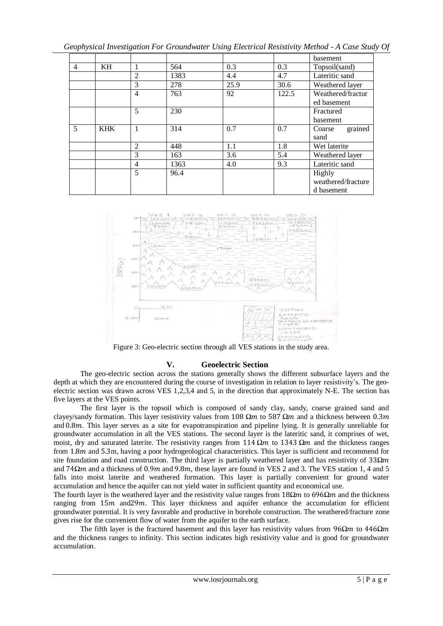| Geophysical Investigation For Groundwater Using Electrical Resistivity Method - A Case Study Of |  |  |  |  |  |  |  |  |  |
|-------------------------------------------------------------------------------------------------|--|--|--|--|--|--|--|--|--|
|-------------------------------------------------------------------------------------------------|--|--|--|--|--|--|--|--|--|

|                |            |                |      |      |       | basement           |
|----------------|------------|----------------|------|------|-------|--------------------|
| $\overline{4}$ | KH         | $\mathbf{1}$   | 564  | 0.3  | 0.3   | Topsoil(sand)      |
|                |            | $\overline{2}$ | 1383 | 4.4  | 4.7   | Lateritic sand     |
|                |            | 3              | 278  | 25.9 | 30.6  | Weathered layer    |
|                |            | $\overline{4}$ | 763  | 92   | 122.5 | Weathered/fractur  |
|                |            |                |      |      |       | ed basement        |
|                |            | 5              | 230  |      |       | Fractured          |
|                |            |                |      |      |       | basement           |
| 5              | <b>KHK</b> | $\mathbf{1}$   | 314  | 0.7  | 0.7   | grained<br>Coarse  |
|                |            |                |      |      |       | sand               |
|                |            | 2              | 448  | 1.1  | 1.8   | Wet laterite       |
|                |            | 3              | 163  | 3.6  | 5.4   | Weathered layer    |
|                |            | $\overline{4}$ | 1363 | 4.0  | 9.3   | Lateritic sand     |
|                |            | 5              | 96.4 |      |       | Highly             |
|                |            |                |      |      |       | weathered/fracture |
|                |            |                |      |      |       | d basement         |



Figure 3: Geo-electric section through all VES stations in the study area.

## **V. Geoelectric Section**

 The geo-electric section across the stations generally shows the different subsurface layers and the depth at which they are encountered during the course of investigation in relation to layer resistivity's. The geoelectric section was drawn across VES 1,2,3,4 and 5, in the direction that approximately N-E. The section has five layers at the VES points.

 The first layer is the topsoil which is composed of sandy clay, sandy, coarse grained sand and clayey/sandy formation. This layer resistivity values from 108  $\Omega m$  to 587  $\Omega m$  and a thickness between 0.3m and 0.8*m*. This layer serves as a site for evapotranspiration and pipeline lying. It is generally unreliable for groundwater accumulation in all the VES stations. The second layer is the lateritic sand, it comprises of wet, moist, dry and saturated laterite. The resistivity ranges from  $114 \Omega m$  to  $1343 \Omega m$  and the thickness ranges from 1.8m and 5.3m, having a poor hydrogeological characteristics. This layer is sufficient and recommend for site foundation and road construction. The third layer is partially weathered layer and has resistivity of 33*Ω* and 74Ω*m* and a thickness of 0.9*m* and 9.8*m*, these layer are found in VES 2 and 3. The VES station 1, 4 and 5 falls into moist laterite and weathered formation. This layer is partially convenient for ground water accumulation and hence the aquifer can not yield water in sufficient quantity and economical use.

The fourth layer is the weathered layer and the resistivity value ranges from 18 $\Omega$  to 696 $\Omega$  and the thickness ranging from  $15m$  and  $29m$ . This layer thickness and aquifer enhance the accumulation for efficient groundwater potential. It is very favorable and productive in borehole construction. The weathered/fracture zone gives rise for the convenient flow of water from the aquifer to the earth surface.

The fifth layer is the fractured basement and this layer has resistivity values from  $96\Omega m$  to  $446\Omega m$ and the thickness ranges to infinity. This section indicates high resistivity value and is good for groundwater accumulation.